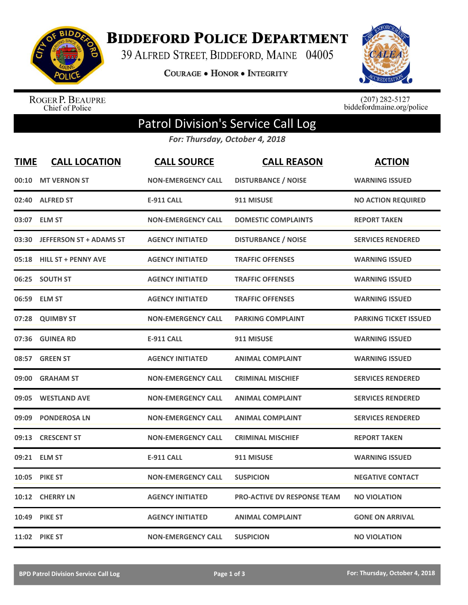

**BIDDEFORD POLICE DEPARTMENT** 

39 ALFRED STREET, BIDDEFORD, MAINE 04005

**COURAGE . HONOR . INTEGRITY** 



ROGER P. BEAUPRE<br>Chief of Police

 $(207)$  282-5127<br>biddefordmaine.org/police

## Patrol Division's Service Call Log

*For: Thursday, October 4, 2018*

| <b>TIME</b> | <b>CALL LOCATION</b>           | <b>CALL SOURCE</b>        | <b>CALL REASON</b>                 | <b>ACTION</b>                |
|-------------|--------------------------------|---------------------------|------------------------------------|------------------------------|
| 00:10       | <b>MT VERNON ST</b>            | <b>NON-EMERGENCY CALL</b> | <b>DISTURBANCE / NOISE</b>         | <b>WARNING ISSUED</b>        |
| 02:40       | <b>ALFRED ST</b>               | <b>E-911 CALL</b>         | 911 MISUSE                         | <b>NO ACTION REQUIRED</b>    |
| 03:07       | <b>ELM ST</b>                  | <b>NON-EMERGENCY CALL</b> | <b>DOMESTIC COMPLAINTS</b>         | <b>REPORT TAKEN</b>          |
| 03:30       | <b>JEFFERSON ST + ADAMS ST</b> | <b>AGENCY INITIATED</b>   | <b>DISTURBANCE / NOISE</b>         | <b>SERVICES RENDERED</b>     |
| 05:18       | <b>HILL ST + PENNY AVE</b>     | <b>AGENCY INITIATED</b>   | <b>TRAFFIC OFFENSES</b>            | <b>WARNING ISSUED</b>        |
| 06:25       | <b>SOUTH ST</b>                | <b>AGENCY INITIATED</b>   | <b>TRAFFIC OFFENSES</b>            | <b>WARNING ISSUED</b>        |
| 06:59       | <b>ELM ST</b>                  | <b>AGENCY INITIATED</b>   | <b>TRAFFIC OFFENSES</b>            | <b>WARNING ISSUED</b>        |
| 07:28       | <b>QUIMBY ST</b>               | <b>NON-EMERGENCY CALL</b> | <b>PARKING COMPLAINT</b>           | <b>PARKING TICKET ISSUED</b> |
| 07:36       | <b>GUINEA RD</b>               | <b>E-911 CALL</b>         | 911 MISUSE                         | <b>WARNING ISSUED</b>        |
| 08:57       | <b>GREEN ST</b>                | <b>AGENCY INITIATED</b>   | <b>ANIMAL COMPLAINT</b>            | <b>WARNING ISSUED</b>        |
| 09:00       | <b>GRAHAM ST</b>               | <b>NON-EMERGENCY CALL</b> | <b>CRIMINAL MISCHIEF</b>           | <b>SERVICES RENDERED</b>     |
| 09:05       | <b>WESTLAND AVE</b>            | <b>NON-EMERGENCY CALL</b> | <b>ANIMAL COMPLAINT</b>            | <b>SERVICES RENDERED</b>     |
| 09:09       | <b>PONDEROSA LN</b>            | <b>NON-EMERGENCY CALL</b> | <b>ANIMAL COMPLAINT</b>            | <b>SERVICES RENDERED</b>     |
| 09:13       | <b>CRESCENT ST</b>             | <b>NON-EMERGENCY CALL</b> | <b>CRIMINAL MISCHIEF</b>           | <b>REPORT TAKEN</b>          |
| 09:21       | <b>ELM ST</b>                  | <b>E-911 CALL</b>         | 911 MISUSE                         | <b>WARNING ISSUED</b>        |
| 10:05       | <b>PIKE ST</b>                 | <b>NON-EMERGENCY CALL</b> | <b>SUSPICION</b>                   | <b>NEGATIVE CONTACT</b>      |
| 10:12       | <b>CHERRY LN</b>               | <b>AGENCY INITIATED</b>   | <b>PRO-ACTIVE DV RESPONSE TEAM</b> | <b>NO VIOLATION</b>          |
| 10:49       | <b>PIKE ST</b>                 | <b>AGENCY INITIATED</b>   | <b>ANIMAL COMPLAINT</b>            | <b>GONE ON ARRIVAL</b>       |
|             | <b>11:02 PIKE ST</b>           | <b>NON-EMERGENCY CALL</b> | <b>SUSPICION</b>                   | <b>NO VIOLATION</b>          |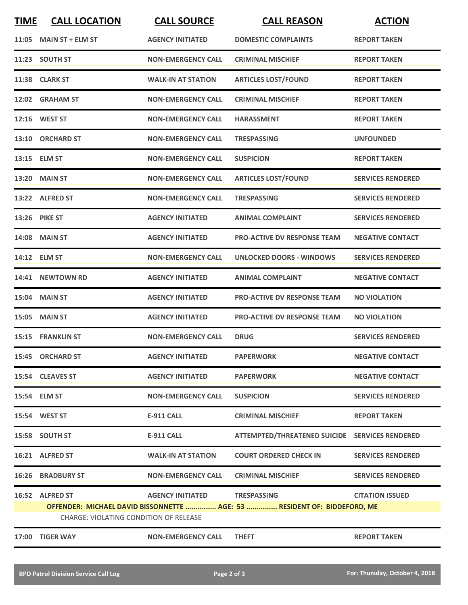| <b>TIME</b> | <b>CALL LOCATION</b>                   | <b>CALL SOURCE</b>        | <b>CALL REASON</b>                                                       | <b>ACTION</b>            |
|-------------|----------------------------------------|---------------------------|--------------------------------------------------------------------------|--------------------------|
|             | $11:05$ MAIN ST + ELM ST               | <b>AGENCY INITIATED</b>   | <b>DOMESTIC COMPLAINTS</b>                                               | <b>REPORT TAKEN</b>      |
|             | 11:23 SOUTH ST                         | <b>NON-EMERGENCY CALL</b> | <b>CRIMINAL MISCHIEF</b>                                                 | <b>REPORT TAKEN</b>      |
|             | 11:38 CLARK ST                         | <b>WALK-IN AT STATION</b> | <b>ARTICLES LOST/FOUND</b>                                               | <b>REPORT TAKEN</b>      |
|             | 12:02 GRAHAM ST                        | <b>NON-EMERGENCY CALL</b> | <b>CRIMINAL MISCHIEF</b>                                                 | <b>REPORT TAKEN</b>      |
|             | 12:16 WEST ST                          | <b>NON-EMERGENCY CALL</b> | <b>HARASSMENT</b>                                                        | <b>REPORT TAKEN</b>      |
|             | 13:10 ORCHARD ST                       | <b>NON-EMERGENCY CALL</b> | <b>TRESPASSING</b>                                                       | <b>UNFOUNDED</b>         |
|             | 13:15 ELM ST                           | <b>NON-EMERGENCY CALL</b> | <b>SUSPICION</b>                                                         | <b>REPORT TAKEN</b>      |
|             | <b>13:20 MAIN ST</b>                   | <b>NON-EMERGENCY CALL</b> | <b>ARTICLES LOST/FOUND</b>                                               | <b>SERVICES RENDERED</b> |
|             | 13:22 ALFRED ST                        | <b>NON-EMERGENCY CALL</b> | <b>TRESPASSING</b>                                                       | <b>SERVICES RENDERED</b> |
|             | <b>13:26 PIKE ST</b>                   | <b>AGENCY INITIATED</b>   | <b>ANIMAL COMPLAINT</b>                                                  | <b>SERVICES RENDERED</b> |
|             | <b>14:08 MAIN ST</b>                   | <b>AGENCY INITIATED</b>   | PRO-ACTIVE DV RESPONSE TEAM                                              | <b>NEGATIVE CONTACT</b>  |
|             | 14:12 ELM ST                           | <b>NON-EMERGENCY CALL</b> | <b>UNLOCKED DOORS - WINDOWS</b>                                          | <b>SERVICES RENDERED</b> |
| 14:41       | <b>NEWTOWN RD</b>                      | <b>AGENCY INITIATED</b>   | <b>ANIMAL COMPLAINT</b>                                                  | <b>NEGATIVE CONTACT</b>  |
| 15:04       | <b>MAIN ST</b>                         | <b>AGENCY INITIATED</b>   | <b>PRO-ACTIVE DV RESPONSE TEAM</b>                                       | <b>NO VIOLATION</b>      |
| 15:05       | <b>MAIN ST</b>                         | <b>AGENCY INITIATED</b>   | <b>PRO-ACTIVE DV RESPONSE TEAM</b>                                       | <b>NO VIOLATION</b>      |
|             | <b>15:15 FRANKLIN ST</b>               | <b>NON-EMERGENCY CALL</b> | <b>DRUG</b>                                                              | <b>SERVICES RENDERED</b> |
|             | 15:45 ORCHARD ST                       | <b>AGENCY INITIATED</b>   | <b>PAPERWORK</b>                                                         | <b>NEGATIVE CONTACT</b>  |
|             | 15:54 CLEAVES ST                       | <b>AGENCY INITIATED</b>   | <b>PAPERWORK</b>                                                         | <b>NEGATIVE CONTACT</b>  |
|             | 15:54 ELM ST                           | <b>NON-EMERGENCY CALL</b> | <b>SUSPICION</b>                                                         | <b>SERVICES RENDERED</b> |
|             | 15:54 WEST ST                          | <b>E-911 CALL</b>         | <b>CRIMINAL MISCHIEF</b>                                                 | <b>REPORT TAKEN</b>      |
|             | 15:58 SOUTH ST                         | E-911 CALL                | ATTEMPTED/THREATENED SUICIDE SERVICES RENDERED                           |                          |
|             | 16:21 ALFRED ST                        | <b>WALK-IN AT STATION</b> | <b>COURT ORDERED CHECK IN</b>                                            | <b>SERVICES RENDERED</b> |
|             | <b>16:26 BRADBURY ST</b>               | <b>NON-EMERGENCY CALL</b> | <b>CRIMINAL MISCHIEF</b>                                                 | <b>SERVICES RENDERED</b> |
|             | 16:52 ALFRED ST                        | <b>AGENCY INITIATED</b>   | <b>TRESPASSING</b>                                                       | <b>CITATION ISSUED</b>   |
|             | CHARGE: VIOLATING CONDITION OF RELEASE |                           | OFFENDER: MICHAEL DAVID BISSONNETTE  AGE: 53  RESIDENT OF: BIDDEFORD, ME |                          |
| 17:00       | <b>TIGER WAY</b>                       | <b>NON-EMERGENCY CALL</b> | <b>THEFT</b>                                                             | <b>REPORT TAKEN</b>      |